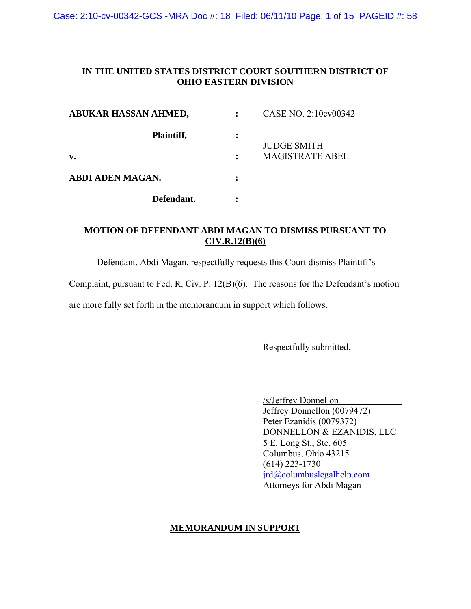Case: 2:10-cv-00342-GCS -MRA Doc #: 18 Filed: 06/11/10 Page: 1 of 15 PAGEID #: 58

## **IN THE UNITED STATES DISTRICT COURT SOUTHERN DISTRICT OF OHIO EASTERN DIVISION**

| ABUKAR HASSAN AHMED,    |           | CASE NO. 2:10cv00342   |
|-------------------------|-----------|------------------------|
| Plaintiff,              | $\bullet$ | <b>JUDGE SMITH</b>     |
| v.                      |           | <b>MAGISTRATE ABEL</b> |
| <b>ABDI ADEN MAGAN.</b> |           |                        |
| Defendant.              |           |                        |

## **MOTION OF DEFENDANT ABDI MAGAN TO DISMISS PURSUANT TO CIV.R.12(B)(6)**

Defendant, Abdi Magan, respectfully requests this Court dismiss Plaintiff's

Complaint, pursuant to Fed. R. Civ. P. 12(B)(6). The reasons for the Defendant's motion

are more fully set forth in the memorandum in support which follows.

Respectfully submitted,

 /s/Jeffrey Donnellon Jeffrey Donnellon (0079472) Peter Ezanidis (0079372) DONNELLON & EZANIDIS, LLC 5 E. Long St., Ste. 605 Columbus, Ohio 43215 (614) 223-1730 [jrd@columbuslegalhelp.com](mailto:jrd@columbuslegalhelp.com) Attorneys for Abdi Magan

### **MEMORANDUM IN SUPPORT**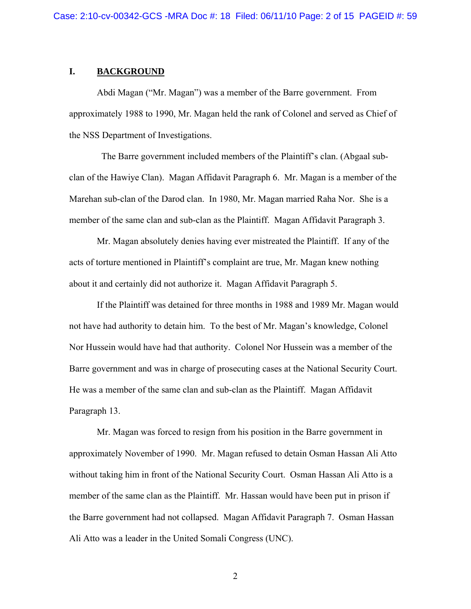### **I. BACKGROUND**

 Abdi Magan ("Mr. Magan") was a member of the Barre government. From approximately 1988 to 1990, Mr. Magan held the rank of Colonel and served as Chief of the NSS Department of Investigations.

 The Barre government included members of the Plaintiff's clan. (Abgaal subclan of the Hawiye Clan). Magan Affidavit Paragraph 6. Mr. Magan is a member of the Marehan sub-clan of the Darod clan. In 1980, Mr. Magan married Raha Nor. She is a member of the same clan and sub-clan as the Plaintiff. Magan Affidavit Paragraph 3.

 Mr. Magan absolutely denies having ever mistreated the Plaintiff. If any of the acts of torture mentioned in Plaintiff's complaint are true, Mr. Magan knew nothing about it and certainly did not authorize it. Magan Affidavit Paragraph 5.

 If the Plaintiff was detained for three months in 1988 and 1989 Mr. Magan would not have had authority to detain him. To the best of Mr. Magan's knowledge, Colonel Nor Hussein would have had that authority. Colonel Nor Hussein was a member of the Barre government and was in charge of prosecuting cases at the National Security Court. He was a member of the same clan and sub-clan as the Plaintiff. Magan Affidavit Paragraph 13.

 Mr. Magan was forced to resign from his position in the Barre government in approximately November of 1990. Mr. Magan refused to detain Osman Hassan Ali Atto without taking him in front of the National Security Court. Osman Hassan Ali Atto is a member of the same clan as the Plaintiff. Mr. Hassan would have been put in prison if the Barre government had not collapsed. Magan Affidavit Paragraph 7. Osman Hassan Ali Atto was a leader in the United Somali Congress (UNC).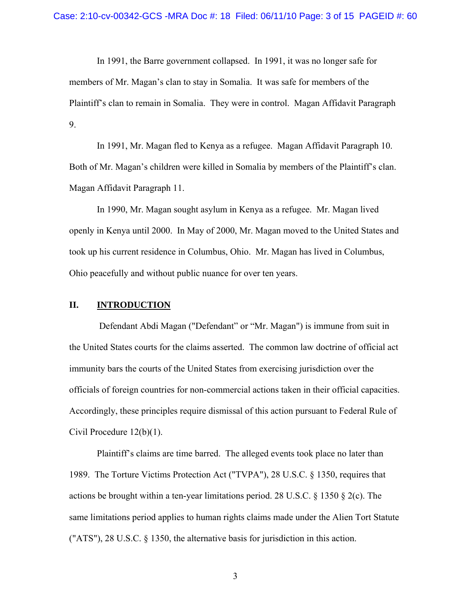In 1991, the Barre government collapsed. In 1991, it was no longer safe for members of Mr. Magan's clan to stay in Somalia. It was safe for members of the Plaintiff's clan to remain in Somalia. They were in control. Magan Affidavit Paragraph 9.

 In 1991, Mr. Magan fled to Kenya as a refugee. Magan Affidavit Paragraph 10. Both of Mr. Magan's children were killed in Somalia by members of the Plaintiff's clan. Magan Affidavit Paragraph 11.

 In 1990, Mr. Magan sought asylum in Kenya as a refugee. Mr. Magan lived openly in Kenya until 2000. In May of 2000, Mr. Magan moved to the United States and took up his current residence in Columbus, Ohio. Mr. Magan has lived in Columbus, Ohio peacefully and without public nuance for over ten years.

### **II. INTRODUCTION**

 Defendant Abdi Magan ("Defendant" or "Mr. Magan") is immune from suit in the United States courts for the claims asserted. The common law doctrine of official act immunity bars the courts of the United States from exercising jurisdiction over the officials of foreign countries for non-commercial actions taken in their official capacities. Accordingly, these principles require dismissal of this action pursuant to Federal Rule of Civil Procedure 12(b)(1).

 Plaintiff's claims are time barred. The alleged events took place no later than 1989. The Torture Victims Protection Act ("TVPA"), 28 U.S.C. § 1350, requires that actions be brought within a ten-year limitations period. 28 U.S.C. § 1350 § 2(c). The same limitations period applies to human rights claims made under the Alien Tort Statute ("ATS"), 28 U.S.C. § 1350, the alternative basis for jurisdiction in this action.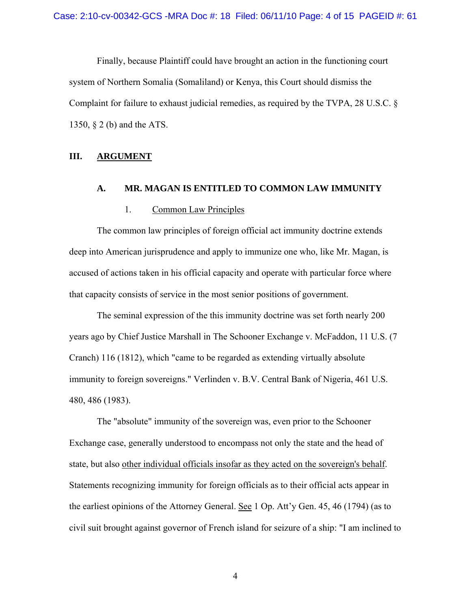Finally, because Plaintiff could have brought an action in the functioning court system of Northern Somalia (Somaliland) or Kenya, this Court should dismiss the Complaint for failure to exhaust judicial remedies, as required by the TVPA, 28 U.S.C. § 1350, § 2 (b) and the ATS.

### **III. ARGUMENT**

### **A. MR. MAGAN IS ENTITLED TO COMMON LAW IMMUNITY**

### 1. Common Law Principles

The common law principles of foreign official act immunity doctrine extends deep into American jurisprudence and apply to immunize one who, like Mr. Magan, is accused of actions taken in his official capacity and operate with particular force where that capacity consists of service in the most senior positions of government.

 The seminal expression of the this immunity doctrine was set forth nearly 200 years ago by Chief Justice Marshall in The Schooner Exchange v. McFaddon, 11 U.S. (7 Cranch) 116 (1812), which "came to be regarded as extending virtually absolute immunity to foreign sovereigns." Verlinden v. B.V. Central Bank of Nigeria, 461 U.S. 480, 486 (1983).

 The "absolute" immunity of the sovereign was, even prior to the Schooner Exchange case, generally understood to encompass not only the state and the head of state, but also other individual officials insofar as they acted on the sovereign's behalf. Statements recognizing immunity for foreign officials as to their official acts appear in the earliest opinions of the Attorney General. See 1 Op. Att'y Gen. 45, 46 (1794) (as to civil suit brought against governor of French island for seizure of a ship: "I am inclined to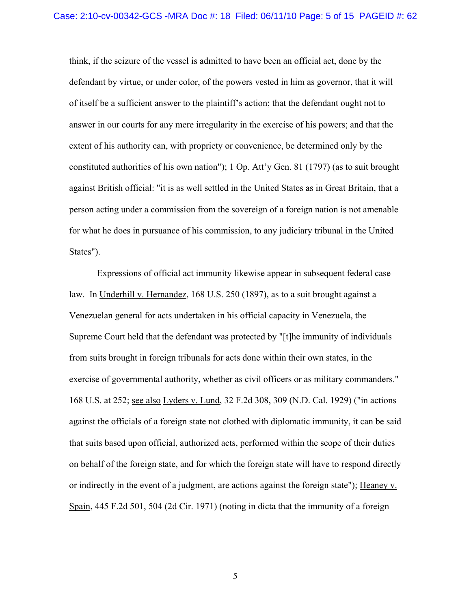think, if the seizure of the vessel is admitted to have been an official act, done by the defendant by virtue, or under color, of the powers vested in him as governor, that it will of itself be a sufficient answer to the plaintiff's action; that the defendant ought not to answer in our courts for any mere irregularity in the exercise of his powers; and that the extent of his authority can, with propriety or convenience, be determined only by the constituted authorities of his own nation"); 1 Op. Att'y Gen. 81 (1797) (as to suit brought against British official: "it is as well settled in the United States as in Great Britain, that a person acting under a commission from the sovereign of a foreign nation is not amenable for what he does in pursuance of his commission, to any judiciary tribunal in the United States").

 Expressions of official act immunity likewise appear in subsequent federal case law. In Underhill v. Hernandez, 168 U.S. 250 (1897), as to a suit brought against a Venezuelan general for acts undertaken in his official capacity in Venezuela, the Supreme Court held that the defendant was protected by "[t]he immunity of individuals from suits brought in foreign tribunals for acts done within their own states, in the exercise of governmental authority, whether as civil officers or as military commanders." 168 U.S. at 252; see also Lyders v. Lund, 32 F.2d 308, 309 (N.D. Cal. 1929) ("in actions against the officials of a foreign state not clothed with diplomatic immunity, it can be said that suits based upon official, authorized acts, performed within the scope of their duties on behalf of the foreign state, and for which the foreign state will have to respond directly or indirectly in the event of a judgment, are actions against the foreign state"); Heaney v. Spain, 445 F.2d 501, 504 (2d Cir. 1971) (noting in dicta that the immunity of a foreign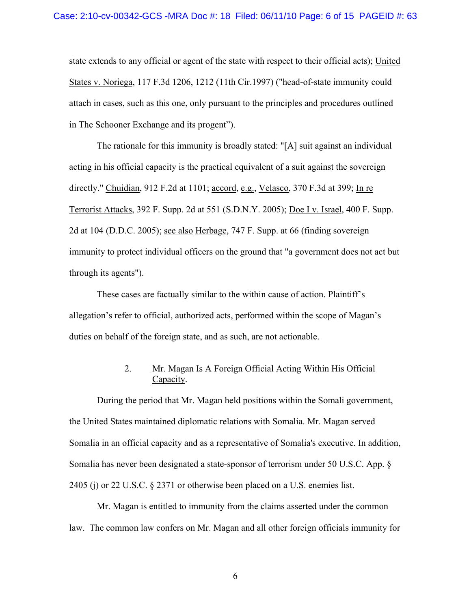state extends to any official or agent of the state with respect to their official acts); United States v. Noriega, 117 F.3d 1206, 1212 (11th Cir.1997) ("head-of-state immunity could attach in cases, such as this one, only pursuant to the principles and procedures outlined in The Schooner Exchange and its progent").

 The rationale for this immunity is broadly stated: "[A] suit against an individual acting in his official capacity is the practical equivalent of a suit against the sovereign directly." Chuidian, 912 F.2d at 1101; accord, e.g., Velasco, 370 F.3d at 399; In re Terrorist Attacks, 392 F. Supp. 2d at 551 (S.D.N.Y. 2005); Doe I v. Israel, 400 F. Supp. 2d at 104 (D.D.C. 2005); see also Herbage, 747 F. Supp. at 66 (finding sovereign immunity to protect individual officers on the ground that "a government does not act but through its agents").

 These cases are factually similar to the within cause of action. Plaintiff's allegation's refer to official, authorized acts, performed within the scope of Magan's duties on behalf of the foreign state, and as such, are not actionable.

## 2. Mr. Magan Is A Foreign Official Acting Within His Official Capacity.

 During the period that Mr. Magan held positions within the Somali government, the United States maintained diplomatic relations with Somalia. Mr. Magan served Somalia in an official capacity and as a representative of Somalia's executive. In addition, Somalia has never been designated a state-sponsor of terrorism under 50 U.S.C. App. § 2405 (j) or 22 U.S.C. § 2371 or otherwise been placed on a U.S. enemies list.

Mr. Magan is entitled to immunity from the claims asserted under the common law. The common law confers on Mr. Magan and all other foreign officials immunity for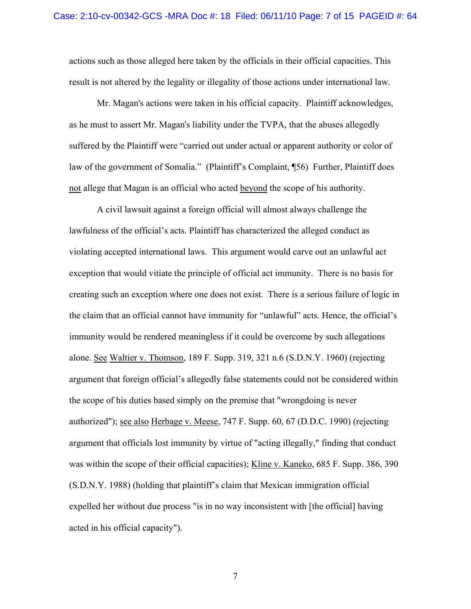actions such as those alleged here taken by the officials in their official capacities. This result is not altered by the legality or illegality of those actions under international law.

 Mr. Magan's actions were taken in his official capacity. Plaintiff acknowledges, as he must to assert Mr. Magan's liability under the TVPA, that the abuses allegedly suffered by the Plaintiff were "carried out under actual or apparent authority or color of law of the government of Somalia." (Plaintiff's Complaint, ¶56) Further, Plaintiff does not allege that Magan is an official who acted beyond the scope of his authority.

 A civil lawsuit against a foreign official will almost always challenge the lawfulness of the official's acts. Plaintiff has characterized the alleged conduct as violating accepted international laws. This argument would carve out an unlawful act exception that would vitiate the principle of official act immunity. There is no basis for creating such an exception where one does not exist. There is a serious failure of logic in the claim that an official cannot have immunity for "unlawful" acts. Hence, the official's immunity would be rendered meaningless if it could be overcome by such allegations alone. See Waltier v. Thomson, 189 F. Supp. 319, 321 n.6 (S.D.N.Y. 1960) (rejecting argument that foreign official's allegedly false statements could not be considered within the scope of his duties based simply on the premise that "wrongdoing is never authorized"); see also Herbage v. Meese, 747 F. Supp. 60, 67 (D.D.C. 1990) (rejecting argument that officials lost immunity by virtue of "acting illegally," finding that conduct was within the scope of their official capacities); Kline v. Kaneko, 685 F. Supp. 386, 390 (S.D.N.Y. 1988) (holding that plaintiff's claim that Mexican immigration official expelled her without due process "is in no way inconsistent with [the official] having acted in his official capacity").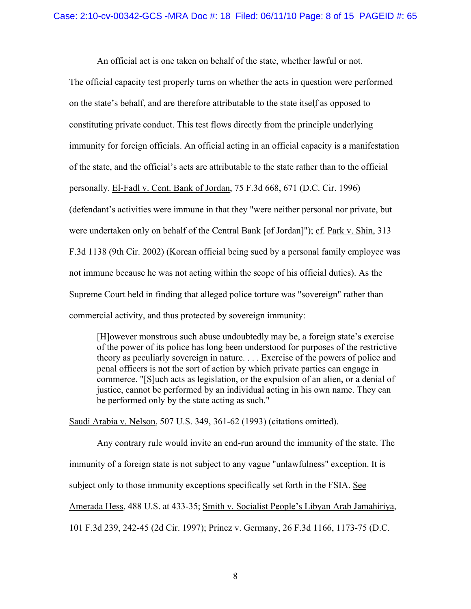An official act is one taken on behalf of the state, whether lawful or not.

The official capacity test properly turns on whether the acts in question were performed on the state's behalf, and are therefore attributable to the state itself as opposed to constituting private conduct. This test flows directly from the principle underlying immunity for foreign officials. An official acting in an official capacity is a manifestation of the state, and the official's acts are attributable to the state rather than to the official personally. El-Fadl v. Cent. Bank of Jordan, 75 F.3d 668, 671 (D.C. Cir. 1996) (defendant's activities were immune in that they "were neither personal nor private, but were undertaken only on behalf of the Central Bank [of Jordan]"); cf. Park v. Shin, 313 F.3d 1138 (9th Cir. 2002) (Korean official being sued by a personal family employee was not immune because he was not acting within the scope of his official duties). As the Supreme Court held in finding that alleged police torture was "sovereign" rather than commercial activity, and thus protected by sovereign immunity:

[H]owever monstrous such abuse undoubtedly may be, a foreign state's exercise of the power of its police has long been understood for purposes of the restrictive theory as peculiarly sovereign in nature. . . . Exercise of the powers of police and penal officers is not the sort of action by which private parties can engage in commerce. "[S]uch acts as legislation, or the expulsion of an alien, or a denial of justice, cannot be performed by an individual acting in his own name. They can be performed only by the state acting as such."

Saudi Arabia v. Nelson, 507 U.S. 349, 361-62 (1993) (citations omitted).

 Any contrary rule would invite an end-run around the immunity of the state. The immunity of a foreign state is not subject to any vague "unlawfulness" exception. It is subject only to those immunity exceptions specifically set forth in the FSIA. See Amerada Hess, 488 U.S. at 433-35; Smith v. Socialist People's Libyan Arab Jamahiriya, 101 F.3d 239, 242-45 (2d Cir. 1997); Princz v. Germany, 26 F.3d 1166, 1173-75 (D.C.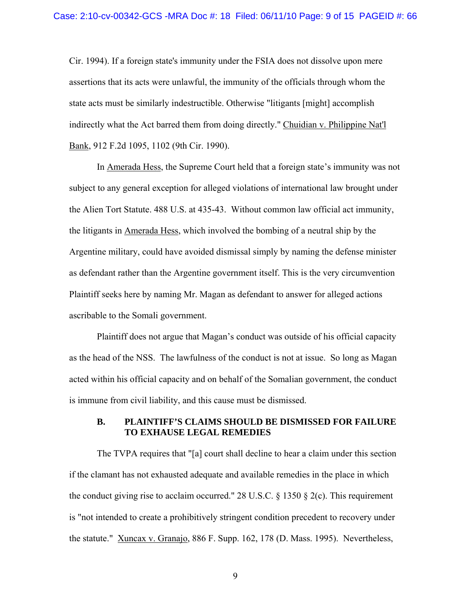Cir. 1994). If a foreign state's immunity under the FSIA does not dissolve upon mere assertions that its acts were unlawful, the immunity of the officials through whom the state acts must be similarly indestructible. Otherwise "litigants [might] accomplish indirectly what the Act barred them from doing directly." Chuidian v. Philippine Nat'l Bank, 912 F.2d 1095, 1102 (9th Cir. 1990).

 In Amerada Hess, the Supreme Court held that a foreign state's immunity was not subject to any general exception for alleged violations of international law brought under the Alien Tort Statute. 488 U.S. at 435-43. Without common law official act immunity, the litigants in Amerada Hess, which involved the bombing of a neutral ship by the Argentine military, could have avoided dismissal simply by naming the defense minister as defendant rather than the Argentine government itself. This is the very circumvention Plaintiff seeks here by naming Mr. Magan as defendant to answer for alleged actions ascribable to the Somali government.

 Plaintiff does not argue that Magan's conduct was outside of his official capacity as the head of the NSS. The lawfulness of the conduct is not at issue. So long as Magan acted within his official capacity and on behalf of the Somalian government, the conduct is immune from civil liability, and this cause must be dismissed.

## **B. PLAINTIFF'S CLAIMS SHOULD BE DISMISSED FOR FAILURE TO EXHAUSE LEGAL REMEDIES**

 The TVPA requires that "[a] court shall decline to hear a claim under this section if the clamant has not exhausted adequate and available remedies in the place in which the conduct giving rise to acclaim occurred." 28 U.S.C.  $\S$  1350  $\S$  2(c). This requirement is "not intended to create a prohibitively stringent condition precedent to recovery under the statute." Xuncax v. Granajo, 886 F. Supp. 162, 178 (D. Mass. 1995). Nevertheless,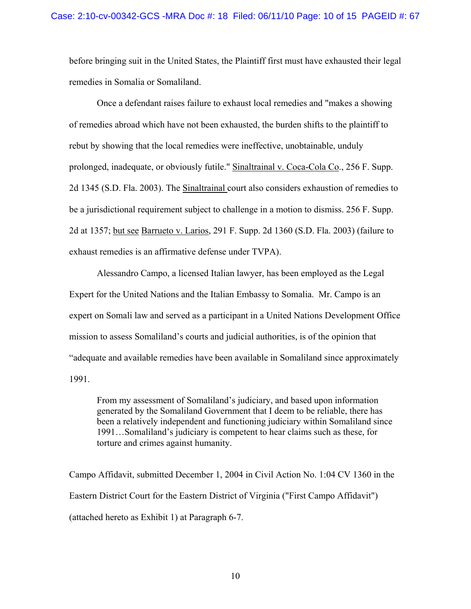before bringing suit in the United States, the Plaintiff first must have exhausted their legal remedies in Somalia or Somaliland.

 Once a defendant raises failure to exhaust local remedies and "makes a showing of remedies abroad which have not been exhausted, the burden shifts to the plaintiff to rebut by showing that the local remedies were ineffective, unobtainable, unduly prolonged, inadequate, or obviously futile." Sinaltrainal v. Coca-Cola Co., 256 F. Supp. 2d 1345 (S.D. Fla. 2003). The Sinaltrainal court also considers exhaustion of remedies to be a jurisdictional requirement subject to challenge in a motion to dismiss. 256 F. Supp. 2d at 1357; but see Barrueto v. Larios, 291 F. Supp. 2d 1360 (S.D. Fla. 2003) (failure to exhaust remedies is an affirmative defense under TVPA).

 Alessandro Campo, a licensed Italian lawyer, has been employed as the Legal Expert for the United Nations and the Italian Embassy to Somalia. Mr. Campo is an expert on Somali law and served as a participant in a United Nations Development Office mission to assess Somaliland's courts and judicial authorities, is of the opinion that "adequate and available remedies have been available in Somaliland since approximately 1991.

From my assessment of Somaliland's judiciary, and based upon information generated by the Somaliland Government that I deem to be reliable, there has been a relatively independent and functioning judiciary within Somaliland since 1991…Somaliland's judiciary is competent to hear claims such as these, for torture and crimes against humanity.

Campo Affidavit, submitted December 1, 2004 in Civil Action No. 1:04 CV 1360 in the Eastern District Court for the Eastern District of Virginia ("First Campo Affidavit") (attached hereto as Exhibit 1) at Paragraph 6-7.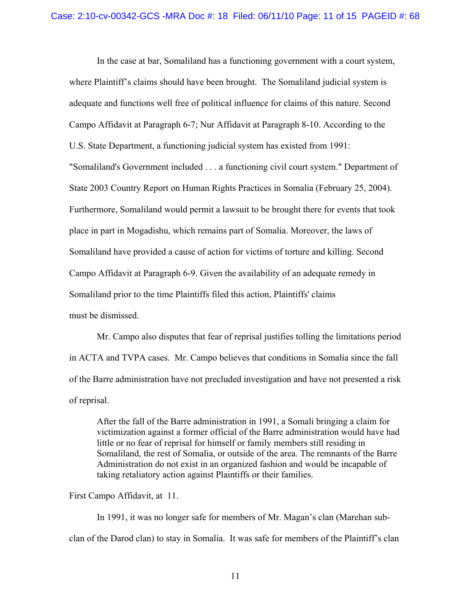In the case at bar, Somaliland has a functioning government with a court system, where Plaintiff's claims should have been brought. The Somaliland judicial system is adequate and functions well free of political influence for claims of this nature. Second Campo Affidavit at Paragraph 6-7; Nur Affidavit at Paragraph 8-10. According to the U.S. State Department, a functioning judicial system has existed from 1991: "Somaliland's Government included . . . a functioning civil court system." Department of State 2003 Country Report on Human Rights Practices in Somalia (February 25, 2004). Furthermore, Somaliland would permit a lawsuit to be brought there for events that took place in part in Mogadishu, which remains part of Somalia. Moreover, the laws of Somaliland have provided a cause of action for victims of torture and killing. Second Campo Affidavit at Paragraph 6-9. Given the availability of an adequate remedy in Somaliland prior to the time Plaintiffs filed this action, Plaintiffs' claims must be dismissed.

 Mr. Campo also disputes that fear of reprisal justifies tolling the limitations period in ACTA and TVPA cases. Mr. Campo believes that conditions in Somalia since the fall of the Barre administration have not precluded investigation and have not presented a risk of reprisal.

 After the fall of the Barre administration in 1991, a Somali bringing a claim for victimization against a former official of the Barre administration would have had little or no fear of reprisal for himself or family members still residing in Somaliland, the rest of Somalia, or outside of the area. The remnants of the Barre Administration do not exist in an organized fashion and would be incapable of taking retaliatory action against Plaintiffs or their families.

### First Campo Affidavit, at 11.

 In 1991, it was no longer safe for members of Mr. Magan's clan (Marehan subclan of the Darod clan) to stay in Somalia. It was safe for members of the Plaintiff's clan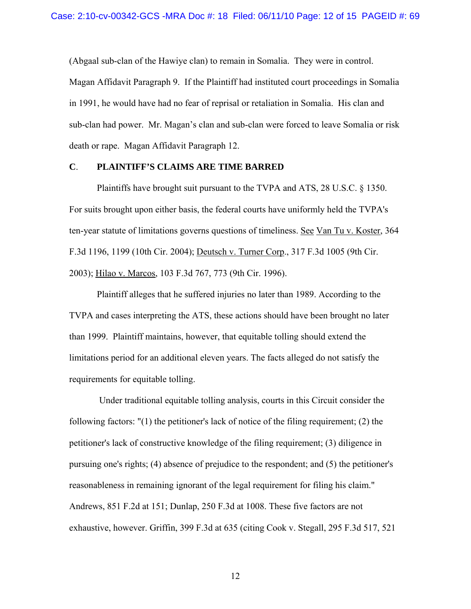(Abgaal sub-clan of the Hawiye clan) to remain in Somalia. They were in control. Magan Affidavit Paragraph 9. If the Plaintiff had instituted court proceedings in Somalia in 1991, he would have had no fear of reprisal or retaliation in Somalia. His clan and sub-clan had power. Mr. Magan's clan and sub-clan were forced to leave Somalia or risk death or rape. Magan Affidavit Paragraph 12.

### **C**. **PLAINTIFF'S CLAIMS ARE TIME BARRED**

 Plaintiffs have brought suit pursuant to the TVPA and ATS, 28 U.S.C. § 1350. For suits brought upon either basis, the federal courts have uniformly held the TVPA's ten-year statute of limitations governs questions of timeliness. See Van Tu v. Koster, 364 F.3d 1196, 1199 (10th Cir. 2004); Deutsch v. Turner Corp., 317 F.3d 1005 (9th Cir. 2003); Hilao v. Marcos, 103 F.3d 767, 773 (9th Cir. 1996).

 Plaintiff alleges that he suffered injuries no later than 1989. According to the TVPA and cases interpreting the ATS, these actions should have been brought no later than 1999. Plaintiff maintains, however, that equitable tolling should extend the limitations period for an additional eleven years. The facts alleged do not satisfy the requirements for equitable tolling.

 Under traditional equitable tolling analysis, courts in this Circuit consider the following factors: "(1) the petitioner's lack of notice of the filing requirement; (2) the petitioner's lack of constructive knowledge of the filing requirement; (3) diligence in pursuing one's rights; (4) absence of prejudice to the respondent; and (5) the petitioner's reasonableness in remaining ignorant of the legal requirement for filing his claim." Andrews, 851 F.2d at 151; Dunlap, 250 F.3d at 1008. These five factors are not exhaustive, however. Griffin, 399 F.3d at 635 (citing Cook v. Stegall, 295 F.3d 517, 521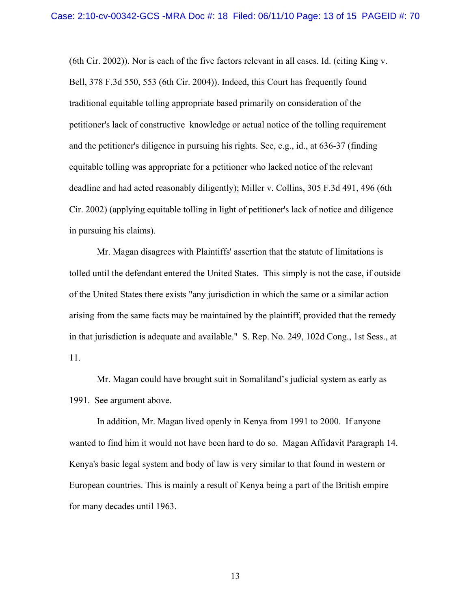(6th Cir. 2002)). Nor is each of the five factors relevant in all cases. Id. (citing King v. Bell, 378 F.3d 550, 553 (6th Cir. 2004)). Indeed, this Court has frequently found traditional equitable tolling appropriate based primarily on consideration of the petitioner's lack of constructive knowledge or actual notice of the tolling requirement and the petitioner's diligence in pursuing his rights. See, e.g., id., at 636-37 (finding equitable tolling was appropriate for a petitioner who lacked notice of the relevant deadline and had acted reasonably diligently); Miller v. Collins, 305 F.3d 491, 496 (6th Cir. 2002) (applying equitable tolling in light of petitioner's lack of notice and diligence in pursuing his claims).

 Mr. Magan disagrees with Plaintiffs' assertion that the statute of limitations is tolled until the defendant entered the United States. This simply is not the case, if outside of the United States there exists "any jurisdiction in which the same or a similar action arising from the same facts may be maintained by the plaintiff, provided that the remedy in that jurisdiction is adequate and available." S. Rep. No. 249, 102d Cong., 1st Sess., at 11.

 Mr. Magan could have brought suit in Somaliland's judicial system as early as 1991. See argument above.

 In addition, Mr. Magan lived openly in Kenya from 1991 to 2000. If anyone wanted to find him it would not have been hard to do so. Magan Affidavit Paragraph 14. Kenya's basic legal system and body of law is very similar to that found in western or European countries. This is mainly a result of Kenya being a part of the British empire for many decades until 1963.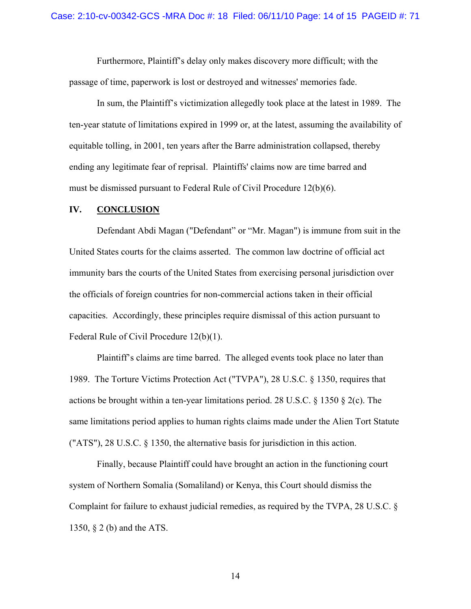Furthermore, Plaintiff's delay only makes discovery more difficult; with the passage of time, paperwork is lost or destroyed and witnesses' memories fade.

 In sum, the Plaintiff's victimization allegedly took place at the latest in 1989. The ten-year statute of limitations expired in 1999 or, at the latest, assuming the availability of equitable tolling, in 2001, ten years after the Barre administration collapsed, thereby ending any legitimate fear of reprisal. Plaintiffs' claims now are time barred and must be dismissed pursuant to Federal Rule of Civil Procedure 12(b)(6).

### **IV. CONCLUSION**

 Defendant Abdi Magan ("Defendant" or "Mr. Magan") is immune from suit in the United States courts for the claims asserted. The common law doctrine of official act immunity bars the courts of the United States from exercising personal jurisdiction over the officials of foreign countries for non-commercial actions taken in their official capacities. Accordingly, these principles require dismissal of this action pursuant to Federal Rule of Civil Procedure 12(b)(1).

 Plaintiff's claims are time barred. The alleged events took place no later than 1989. The Torture Victims Protection Act ("TVPA"), 28 U.S.C. § 1350, requires that actions be brought within a ten-year limitations period. 28 U.S.C. § 1350 § 2(c). The same limitations period applies to human rights claims made under the Alien Tort Statute ("ATS"), 28 U.S.C. § 1350, the alternative basis for jurisdiction in this action.

 Finally, because Plaintiff could have brought an action in the functioning court system of Northern Somalia (Somaliland) or Kenya, this Court should dismiss the Complaint for failure to exhaust judicial remedies, as required by the TVPA, 28 U.S.C. § 1350, § 2 (b) and the ATS.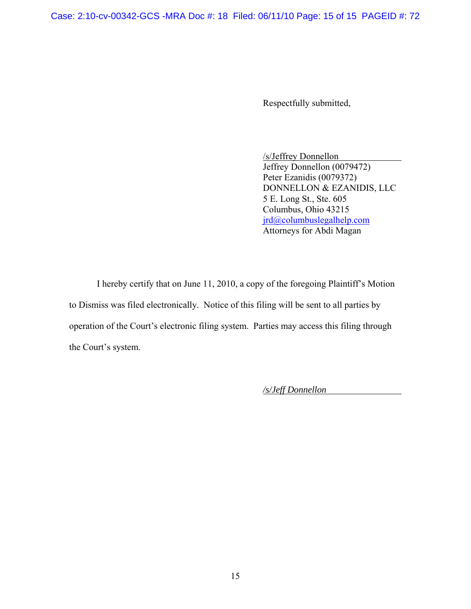Case: 2:10-cv-00342-GCS -MRA Doc #: 18 Filed: 06/11/10 Page: 15 of 15 PAGEID #: 72

Respectfully submitted,

 /s/Jeffrey Donnellon Jeffrey Donnellon (0079472) Peter Ezanidis (0079372) DONNELLON & EZANIDIS, LLC 5 E. Long St., Ste. 605 Columbus, Ohio 43215 [jrd@columbuslegalhelp.com](mailto:jrd@columbuslegalhelp.com) Attorneys for Abdi Magan

I hereby certify that on June 11, 2010, a copy of the foregoing Plaintiff's Motion to Dismiss was filed electronically. Notice of this filing will be sent to all parties by operation of the Court's electronic filing system. Parties may access this filing through the Court's system.

*/s/Jeff Donnellon*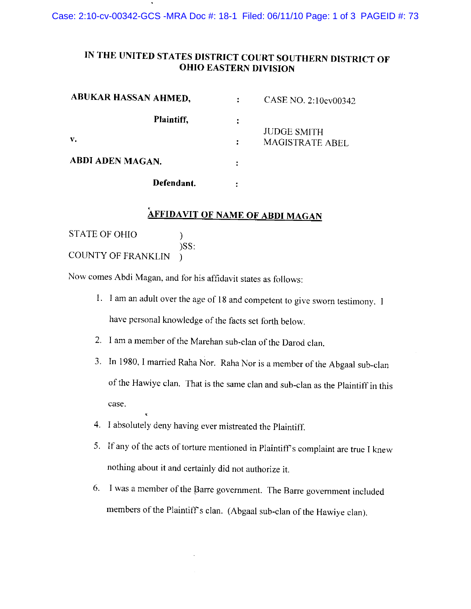Case: 2:10-cv-00342-GCS -MRA Doc #: 18-1 Filed: 06/11/10 Page: 1 of 3 PAGEID #: 73

## IN THE UNITED STATES DISTRICT COURT SOUTHERN DISTRICT OF **OHIO EASTERN DIVISION**

| <b>ABUKAR HASSAN AHMED,</b> | CASE NO. 2:10ev00342                  |
|-----------------------------|---------------------------------------|
| Plaintiff,                  |                                       |
| v.                          | <b>JUDGE SMITH</b><br>MAGISTRATE ABEL |
| <b>ABDI ADEN MAGAN.</b>     |                                       |
| Defendant.                  |                                       |

# **AFFIDAVIT OF NAME OF ABDI MAGAN**

**STATE OF OHIO**  $\mathcal{E}$  $)SS:$ COUNTY OF FRANKLIN )

Now comes Abdi Magan, and for his affidavit states as follows:

- 1. I am an adult over the age of 18 and competent to give sworn testimony. I have personal knowledge of the facts set forth below.
- 2. I am a member of the Marehan sub-clan of the Darod clan.
- 3. In 1980, I married Raha Nor. Raha Nor is a member of the Abgaal sub-clan of the Hawiye clan. That is the same clan and sub-clan as the Plaintiff in this case.
- 4. I absolutely deny having ever mistreated the Plaintiff.
- 5. If any of the acts of torture mentioned in Plaintiff's complaint are true I knew nothing about it and certainly did not authorize it.
- 6. I was a member of the Barre government. The Barre government included members of the Plaintiff's clan. (Abgaal sub-clan of the Hawiye clan).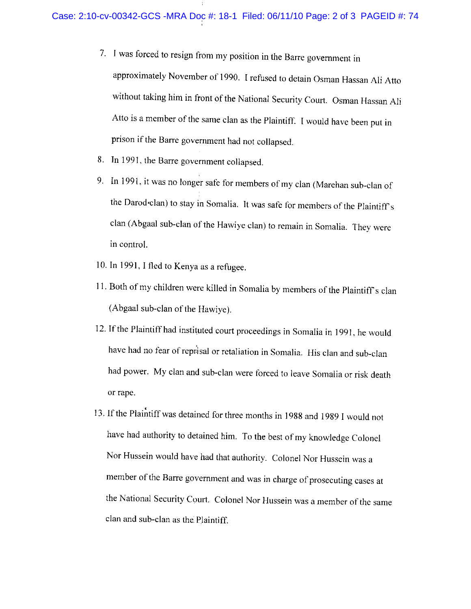- 7. I was forced to resign from my position in the Barre government in approximately November of 1990. I refused to detain Osman Hassan Ali Atto without taking him in front of the National Security Court. Osman Hassan Ali Atto is a member of the same clan as the Plaintiff. I would have been put in prison if the Barre government had not collapsed.
- 8. In 1991, the Barre government collapsed.
- 9. In 1991, it was no longer safe for members of my clan (Marehan sub-clan of the Darod clan) to stay in Somalia. It was safe for members of the Plaintiff's clan (Abgaal sub-clan of the Hawiye clan) to remain in Somalia. They were in control.
- 10. In 1991, I fled to Kenya as a refugee.
- 11. Both of my children were killed in Somalia by members of the Plaintiff's clan (Abgaal sub-clan of the Hawiye).
- 12. If the Plaintiff had instituted court proceedings in Somalia in 1991, he would have had no fear of reprisal or retaliation in Somalia. His clan and sub-clan had power. My clan and sub-clan were forced to leave Somalia or risk death or rape.
- 13. If the Plaintiff was detained for three months in 1988 and 1989 I would not have had authority to detained him. To the best of my knowledge Colonel Nor Hussein would have had that authority. Colonel Nor Hussein was a member of the Barre government and was in charge of prosecuting cases at the National Security Court. Colonel Nor Hussein was a member of the same clan and sub-clan as the Plaintiff.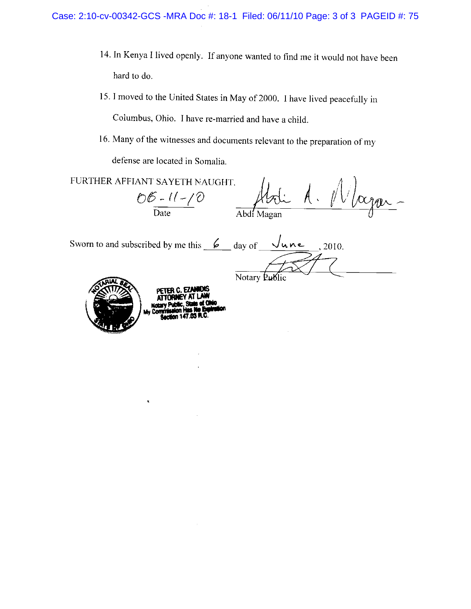- 14. In Kenya I lived openly. If anyone wanted to find me it would not have been hard to do.
- 15. I moved to the United States in May of 2000. I have lived peacefully in Columbus, Ohio. I have re-married and have a child.
- 16. Many of the witnesses and documents relevant to the preparation of my

defense are located in Somalia.

FURTHER AFFIANT SAYETH NAUGHT.  $\sqrt{\alpha_{\text{par}}} \frac{1}{\sqrt{D}}$  -  $11 - 10$ Abdi Magan

Notary Public

Sworn to and subscribed by me this  $\frac{6}{100}$  day of  $\frac{\sqrt{u} \wedge e}{\sqrt{u}}$ , 2010.



 $\hat{\mathbf{x}}$ 

PETER C. EZJ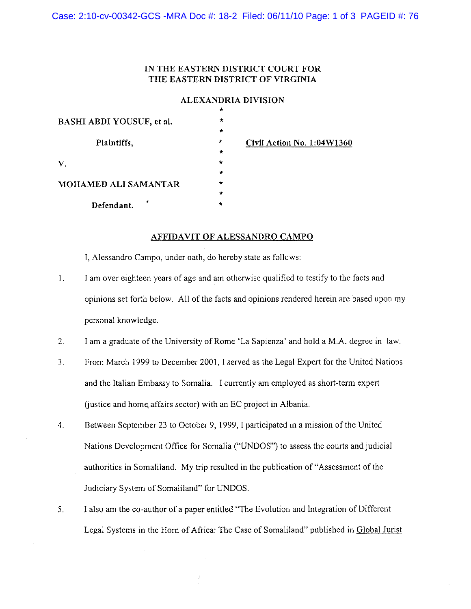Case: 2:10-cv-00342-GCS -MRA Doc #: 18-2 Filed: 06/11/10 Page: 1 of 3 PAGEID #: 76

## IN THE EASTERN DISTRICT COURT FOR THE EASTERN DISTRICT OF VIRGINIA

### ALEXANDRIA DIVISION

|                           | $\ddot{\phantom{1}}$ |                            |
|---------------------------|----------------------|----------------------------|
| BASHI ABDI YOUSUF, et al. | $\star$              |                            |
|                           | $\star$              |                            |
| Plaintiffs,               | $\star$              | Civil Action No. 1:04W1360 |
|                           | $\star$              |                            |
| V.                        | $\star$              |                            |
|                           | ÷                    |                            |
| MOHAMED ALI SAMANTAR      | $\star$              |                            |
|                           | $\star$              |                            |
| Defendant.                | $\star$              |                            |

### AFFIDAVIT OF ALESSANDRO CAMPO

I, Alessandro Campo, under oath, do hereby state as follows:

- I am over eighteen years of age and am otherwise qualified to testify to the facts and 1. opinions set forth below. All of the facts and opinions rendered herein are based upon my personal knowledge.
- $2.$ I am a graduate of the University of Rome 'La Sapienza' and hold a M.A. degree in law.
- $3.$ From March 1999 to December 2001, I served as the Legal Expert for the United Nations and the Italian Embassy to Somalia. I currently am employed as short-term expert (justice and home affairs sector) with an EC project in Albania.
- $\overline{4}$ . Between September 23 to October 9, 1999, I participated in a mission of the United Nations Development Office for Somalia ("UNDOS") to assess the courts and judicial authorities in Somaliland. My trip resulted in the publication of "Assessment of the Judiciary System of Somaliland" for UNDOS.
- $5<sub>1</sub>$ I also am the co-author of a paper entitled "The Evolution and Integration of Different Legal Systems in the Horn of Africa: The Case of Somaliland" published in Global Jurist

 $\frac{t}{t}$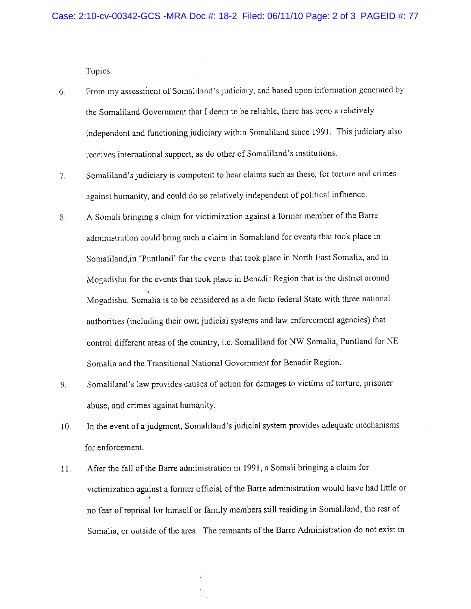Topics.

- From my assessment of Somaliland's judiciary, and based upon information generated by 6. the Somaliland Government that I deem to be reliable, there has been a relatively independent and functioning judiciary within Somaliland since 1991. This judiciary also receives international support, as do other of Somaliland's institutions.
- Somaliland's judiciary is competent to hear claims such as these, for torture and crimes  $7.$ against humanity, and could do so relatively independent of political influence.
- A Somali bringing a claim for victimization against a former member of the Barre 8. administration could bring such a claim in Somaliland for events that took place in Somaliland, in 'Puntland' for the events that took place in North East Somalia, and in Mogadishu for the events that took place in Benadir Region that is the district around Mogadishu. Somalia is to be considered as a de facto federal State with three national authorities (including their own judicial systems and law enforcement agencies) that control different areas of the country, i.e. Somaliland for NW Somalia, Puntland for NE Somalia and the Transitional National Government for Benadir Region.
- Somaliland's law provides causes of action for damages to victims of torture, prisoner 9. abuse, and crimes against humanity.
- In the event of a judgment, Somaliland's judicial system provides adequate mechanisms 10. for enforcement.
- After the fall of the Barre administration in 1991, a Somali bringing a claim for  $11.$ victimization against a former official of the Barre administration would have had little or no fear of reprisal for himself or family members still residing in Somaliland, the rest of Somalia, or outside of the area. The remnants of the Barre Administration do not exist in

 $\frac{1}{2}$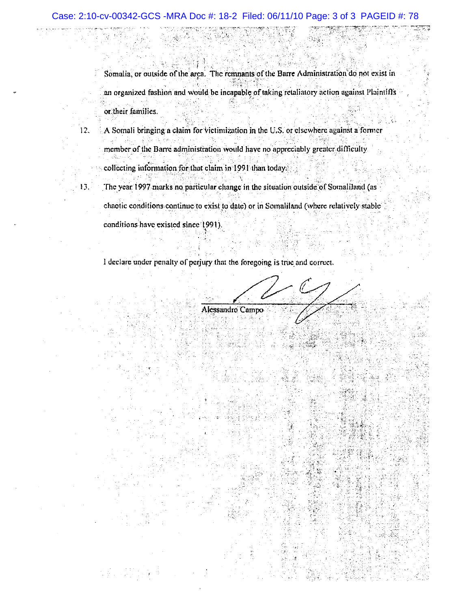Somalia, or outside of the area. The remnants of the Barre Administration do not exist in an organized fashion and would be incapable of taking retaliatory action against Plaintiffs or their families.

A Somali bringing a claim for victimization in the U.S. or elsewhere against a former 12. member of the Barre administration would have no appreciably greater difficulty

collecting information for that claim in 1991 than today.

13,

agina.<br>Réferènsie

The year 1997 marks no particular change in the situation outside of Somaliland (as chaotic conditions continue to exist to date) or in Somaliland (where relatively stable conditions have existed since 1991).

I declare under penalty of perjury that the foregoing is true and correct.

Alessandro Campo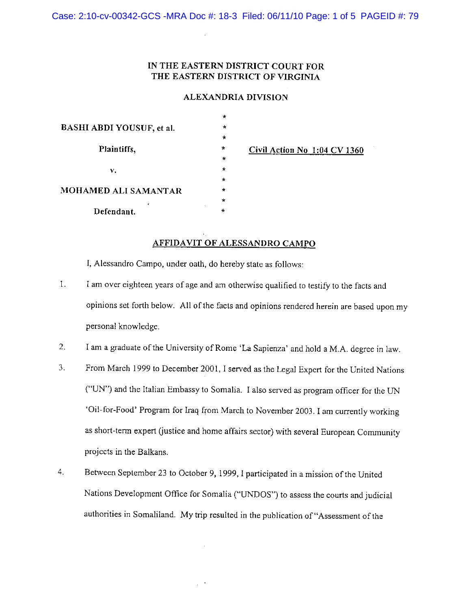### IN THE EASTERN DISTRICT COURT FOR THE EASTERN DISTRICT OF VIRGINIA

### ALEXANDRIA DIVISION

|                           | $\ast$  |                              |
|---------------------------|---------|------------------------------|
| BASHI ABDI YOUSUF, et al. | $\star$ |                              |
|                           | $\star$ |                              |
| Plaintiffs,               | $\star$ | Civil Action No 1:04 CV 1360 |
|                           | $\star$ |                              |
| v.                        | $\star$ |                              |
|                           | $\star$ |                              |
| MOHAMED ALI SAMANTAR<br>x | $\star$ |                              |
|                           | $\star$ |                              |
| Defendant.                | $\star$ |                              |
|                           |         |                              |

### AFFIDAVIT OF ALESSANDRO CAMPO

I, Alessandro Campo, under oath, do hereby state as follows:

- $\mathbf{I}$ . I am over eighteen years of age and am otherwise qualified to testify to the facts and opinions set forth below. All of the facts and opinions rendered herein are based upon my personal knowledge.
- $2.$ I am a graduate of the University of Rome 'La Sapienza' and hold a M.A. degree in law.
- $3.$ From March 1999 to December 2001, I served as the Legal Expert for the United Nations ("UN") and the Italian Embassy to Somalia. I also served as program officer for the UN 'Oil-for-Food' Program for Iraq from March to November 2003. I am currently working as short-term expert (justice and home affairs sector) with several European Community projects in the Balkans.
- Between September 23 to October 9, 1999, I participated in a mission of the United 4. Nations Development Office for Somalia ("UNDOS") to assess the courts and judicial authorities in Somaliland. My trip resulted in the publication of "Assessment of the

 $\mathcal{A}^{\mathcal{A}}$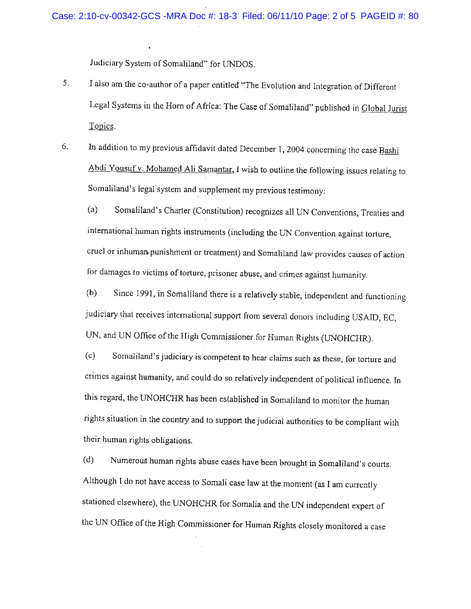Judiciary System of Somaliland" for UNDOS.

- 5. I also am the co-author of a paper entitled "The Evolution and Integration of Different Legal Systems in the Horn of Africa: The Case of Somaliland" published in Global Jurist Topics.
- In addition to my previous affidavit dated December 1, 2004 concerning the case Bashi 6. Abdi Yousuf v. Mohamed Ali Samantar, I wish to outline the following issues relating to Somaliland's legal system and supplement my previous testimony:

Somaliland's Charter (Constitution) recognizes all UN Conventions, Treaties and  $(a)$ international human rights instruments (including the UN Convention against torture, cruel or inhuman punishment or treatment) and Somaliland law provides causes of action for damages to victims of torture, prisoner abuse, and crimes against humanity.

Since 1991, in Somaliland there is a relatively stable, independent and functioning  $(b)$ judiciary that receives international support from several donors including USAID, EC, UN, and UN Office of the High Commissioner for Human Rights (UNOHCHR).

 $(c)$ Somaliland's judiciary is competent to hear claims such as these, for torture and crimes against humanity, and could do so relatively independent of political influence. In this regard, the UNOHCHR has been established in Somaliland to monitor the human rights situation in the country and to support the judicial authorities to be compliant with their human rights obligations.

Numerous human rights abuse cases have been brought in Somaliland's courts.  $(d)$ Although I do not have access to Somali case law at the moment (as I am currently stationed elsewhere), the UNOHCHR for Somalia and the UN independent expert of the UN Office of the High Commissioner for Human Rights closely monitored a case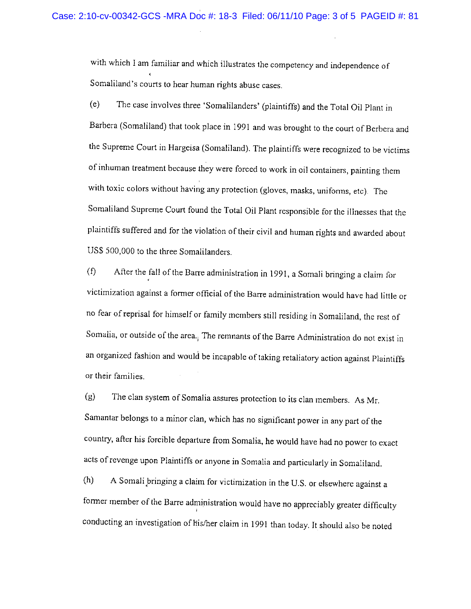with which I am familiar and which illustrates the competency and independence of Somaliland's courts to hear human rights abuse cases.

 $(e)$ The case involves three 'Somalilanders' (plaintiffs) and the Total Oil Plant in Barbera (Somaliland) that took place in 1991 and was brought to the court of Berbera and the Supreme Court in Hargeisa (Somaliland). The plaintiffs were recognized to be victims of inhuman treatment because they were forced to work in oil containers, painting them with toxic colors without having any protection (gloves, masks, uniforms, etc). The Somaliland Supreme Court found the Total Oil Plant responsible for the illnesses that the plaintiffs suffered and for the violation of their civil and human rights and awarded about US\$ 500,000 to the three Somalilanders.

 $(f)$ After the fall of the Barre administration in 1991, a Somali bringing a claim for victimization against a former official of the Barre administration would have had little or no fear of reprisal for himself or family members still residing in Somaliland, the rest of Somalia, or outside of the area. The remnants of the Barre Administration do not exist in an organized fashion and would be incapable of taking retaliatory action against Plaintiffs or their families.

The clan system of Somalia assures protection to its clan members. As Mr.  $(g)$ Samantar belongs to a minor clan, which has no significant power in any part of the country, after his forcible departure from Somalia, he would have had no power to exact acts of revenge upon Plaintiffs or anyone in Somalia and particularly in Somaliland.

A Somali bringing a claim for victimization in the U.S. or elsewhere against a  $(h)$ former member of the Barre administration would have no appreciably greater difficulty conducting an investigation of his/her claim in 1991 than today. It should also be noted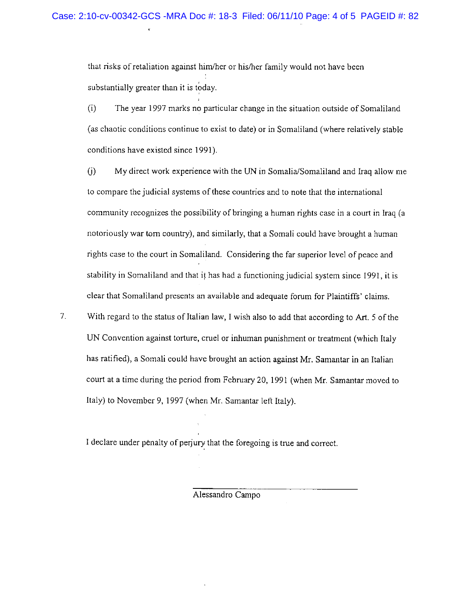that risks of retaliation against him/her or his/her family would not have been substantially greater than it is today.

 $(i)$ The year 1997 marks no particular change in the situation outside of Somaliland (as chaotic conditions continue to exist to date) or in Somaliland (where relatively stable conditions have existed since 1991).

 $(i)$ My direct work experience with the UN in Somalia/Somaliland and Iraq allow me to compare the judicial systems of these countries and to note that the international community recognizes the possibility of bringing a human rights case in a court in Iraq (a notoriously war torn country), and similarly, that a Somali could have brought a human rights case to the court in Somaliland. Considering the far superior level of peace and stability in Somaliland and that it has had a functioning judicial system since 1991, it is clear that Somaliland presents an available and adequate forum for Plaintiffs' claims.

 $7.$ With regard to the status of Italian law, I wish also to add that according to Art. 5 of the UN Convention against torture, cruel or inhuman punishment or treatment (which Italy has ratified), a Somali could have brought an action against Mr. Samantar in an Italian court at a time during the period from February 20, 1991 (when Mr. Samantar moved to Italy) to November 9, 1997 (when Mr. Samantar left Italy).

I declare under penalty of perjury that the foregoing is true and correct.

Alessandro Campo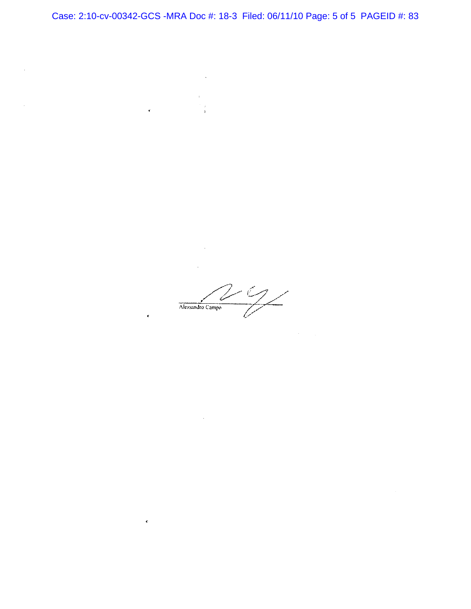$\bar{\mathcal{A}}$  $\sim$ 

 $\hat{\boldsymbol{\beta}}$ 

 $\tilde{\mathbf{c}}$ 

 $\epsilon$  $\frac{1}{2}$ 

Alessandro Campo

 $\sigma_{\rm{eff}}=1$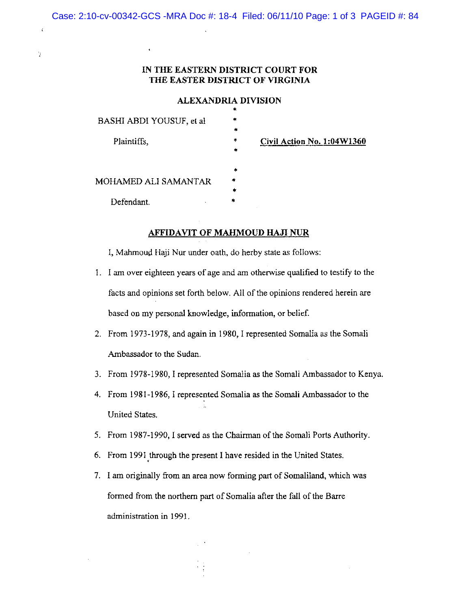Case: 2:10-cv-00342-GCS -MRA Doc #: 18-4 Filed: 06/11/10 Page: 1 of 3 PAGEID #: 84

 $\epsilon$ 

ä

### IN THE EASTERN DISTRICT COURT FOR THE EASTER DISTRICT OF VIRGINIA

### ALEXANDRIA DIVISION

| BASHI ABDI YOUSUF, et al           | $\ast$ |                            |
|------------------------------------|--------|----------------------------|
|                                    | $\ast$ |                            |
| Plaintiffs,                        | $\ast$ | Civil Action No. 1:04W1360 |
|                                    | $\ast$ |                            |
|                                    | $\ast$ |                            |
| MOHAMED ALI SAMANTAR               | *      |                            |
|                                    | $\ast$ |                            |
| Defendant.<br>$\ddot{\phantom{1}}$ | ۰.     |                            |
|                                    |        |                            |

### **AFFIDAVIT OF MAHMOUD HAJI NUR**

I, Mahmoud Haji Nur under oath, do herby state as follows:

- 1. I am over eighteen years of age and am otherwise qualified to testify to the facts and opinions set forth below. All of the opinions rendered herein are based on my personal knowledge, information, or belief.
- 2. From 1973-1978, and again in 1980, I represented Somalia as the Somali Ambassador to the Sudan.
- 3. From 1978-1980, I represented Somalia as the Somali Ambassador to Kenya.
- 4. From 1981-1986, I represented Somalia as the Somali Ambassador to the United States.
- 5. From 1987-1990, I served as the Chairman of the Somali Ports Authority.
- 6. From 1991 through the present I have resided in the United States.
- 7. I am originally from an area now forming part of Somaliland, which was formed from the northern part of Somalia after the fall of the Barre administration in 1991.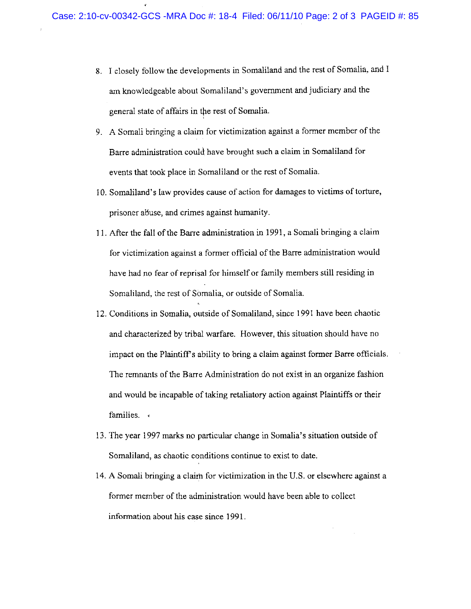- 8. I closely follow the developments in Somaliland and the rest of Somalia, and I am knowledgeable about Somaliland's government and judiciary and the general state of affairs in the rest of Somalia.
- 9. A Somali bringing a claim for victimization against a former member of the Barre administration could have brought such a claim in Somaliland for events that took place in Somaliland or the rest of Somalia.
- 10. Somaliland's law provides cause of action for damages to victims of torture, prisoner abuse, and crimes against humanity.
- 11. After the fall of the Barre administration in 1991, a Somali bringing a claim for victimization against a former official of the Barre administration would have had no fear of reprisal for himself or family members still residing in Somaliland, the rest of Somalia, or outside of Somalia.
- 12. Conditions in Somalia, outside of Somaliland, since 1991 have been chaotic and characterized by tribal warfare. However, this situation should have no impact on the Plaintiff's ability to bring a claim against former Barre officials. The remnants of the Barre Administration do not exist in an organize fashion and would be incapable of taking retaliatory action against Plaintiffs or their families.
- 13. The year 1997 marks no particular change in Somalia's situation outside of Somaliland, as chaotic conditions continue to exist to date.
- 14. A Somali bringing a claim for victimization in the U.S. or elsewhere against a former member of the administration would have been able to collect information about his case since 1991.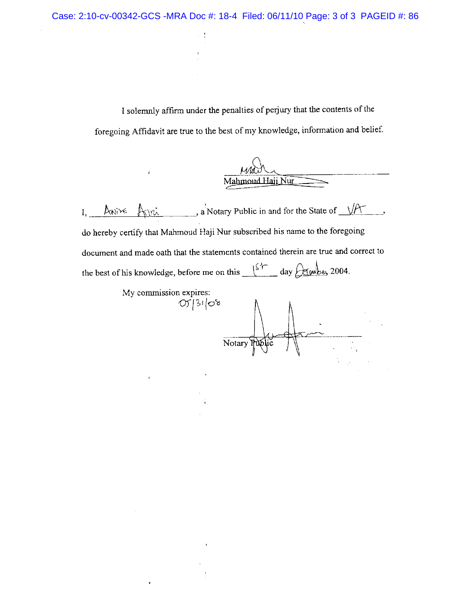I solemnly affirm under the penalties of perjury that the contents of the foregoing Affidavit are true to the best of my knowledge, information and belief.

| Mahmoud Haji Nur |  |  |
|------------------|--|--|

 $\mathbb{A}$   $\mathbb{R}$  a Notary Public in and for the State of  $\mathbb{R}$ . Anixe  $I,$ do hereby certify that Mahmoud Haji Nur subscribed his name to the foregoing document and made oath that the statements contained therein are true and correct to the best of his knowledge, before me on this  $\frac{154}{15}$  day  $\frac{\text{degulge}}{\text{degulge}}$  2004.

ł.

 $\hat{\mathbf{r}}$ 

My commission expires:  $053108$ Notary Public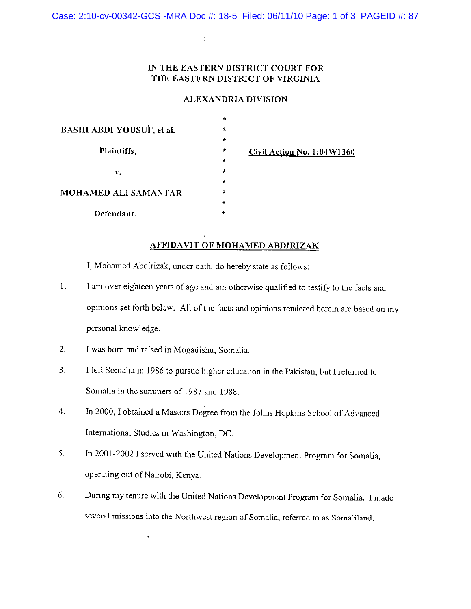Case: 2:10-cv-00342-GCS -MRA Doc #: 18-5 Filed: 06/11/10 Page: 1 of 3 PAGEID #: 87

## IN THE EASTERN DISTRICT COURT FOR THE EASTERN DISTRICT OF VIRGINIA

### **ALEXANDRIA DIVISION**

|                           | $\star$ |                            |
|---------------------------|---------|----------------------------|
| BASHI ABDI YOUSUF, et al. | $\star$ |                            |
|                           | $\star$ |                            |
| Plaintiffs,               | $\star$ | Civil Action No. 1:04W1360 |
|                           | $\star$ |                            |
| ν.                        | $\star$ |                            |
| MOHAMED ALI SAMANTAR      | $\star$ |                            |
|                           | $\star$ |                            |
|                           | $\star$ |                            |
| Defendant.                | $\star$ |                            |
|                           |         |                            |

### **AFFIDAVIT OF MOHAMED ABDIRIZAK**

I, Mohamed Abdirizak, under oath, do hereby state as follows:

- $1.$ I am over eighteen years of age and am otherwise qualified to testify to the facts and opinions set forth below. All of the facts and opinions rendered herein are based on my personal knowledge.
- $2.$ I was born and raised in Mogadishu, Somalia.

 $\tilde{\mathbf{t}}$ 

- $3<sub>1</sub>$ I left Somalia in 1986 to pursue higher education in the Pakistan, but I returned to Somalia in the summers of 1987 and 1988.
- In 2000, I obtained a Masters Degree from the Johns Hopkins School of Advanced  $\overline{4}$ . International Studies in Washington, DC.
- 5. In 2001-2002 I served with the United Nations Development Program for Somalia, operating out of Nairobi, Kenya.
- 6. During my tenure with the United Nations Development Program for Somalia, I made several missions into the Northwest region of Somalia, referred to as Somaliland.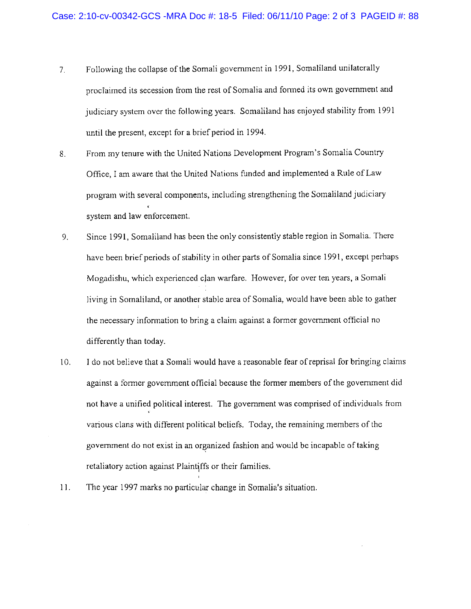- Following the collapse of the Somali government in 1991, Somaliland unilaterally  $7<sub>1</sub>$ proclaimed its secession from the rest of Somalia and formed its own government and judiciary system over the following years. Somaliland has enjoyed stability from 1991 until the present, except for a brief period in 1994.
- From my tenure with the United Nations Development Program's Somalia Country 8. Office, I am aware that the United Nations funded and implemented a Rule of Law program with several components, including strengthening the Somaliland judiciary system and law enforcement.
- 9. Since 1991, Somaliland has been the only consistently stable region in Somalia. There have been brief periods of stability in other parts of Somalia since 1991, except perhaps Mogadishu, which experienced clan warfare. However, for over ten years, a Somali living in Somaliland, or another stable area of Somalia, would have been able to gather the necessary information to bring a claim against a former government official no differently than today.
- 10. I do not believe that a Somali would have a reasonable fear of reprisal for bringing claims against a former government official because the former members of the government did not have a unified political interest. The government was comprised of individuals from various clans with different political beliefs. Today, the remaining members of the government do not exist in an organized fashion and would be incapable of taking retaliatory action against Plaintiffs or their families.
- 11. The year 1997 marks no particular change in Somalia's situation.